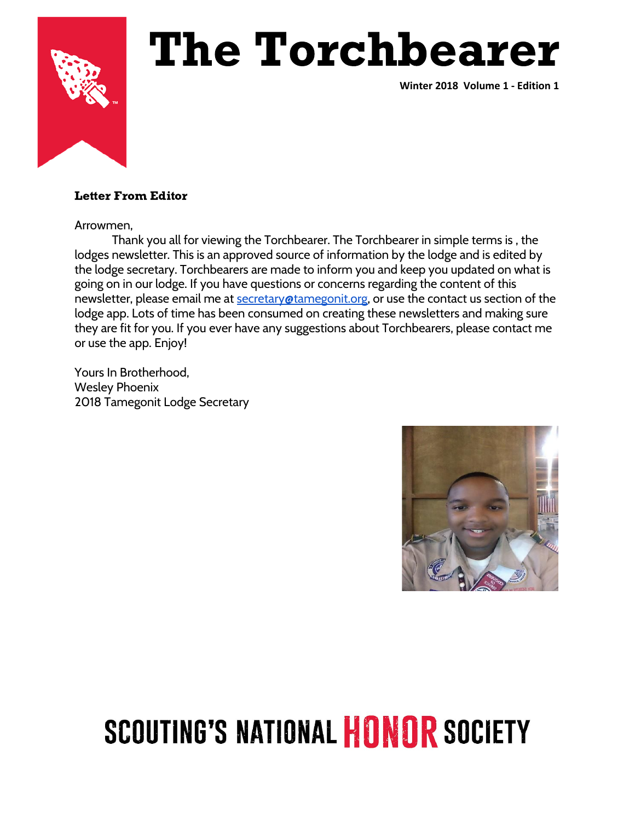

**Winter 2018 Volume 1 - Edition 1**

#### Letter From Editor

Arrowmen,

Thank you all for viewing the Torchbearer. The Torchbearer in simple terms is , the lodges newsletter. This is an approved source of information by the lodge and is edited by the lodge secretary. Torchbearers are made to inform you and keep you updated on what is going on in our lodge. If you have questions or concerns regarding the content of this newsletter, please email me at **secretary@tamegonit.org**, or use the contact us section of the lodge app. Lots of time has been consumed on creating these newsletters and making sure they are fit for you. If you ever have any suggestions about Torchbearers, please contact me or use the app. Enjoy!

Yours In Brotherhood, Wesley Phoenix 2018 Tamegonit Lodge Secretary

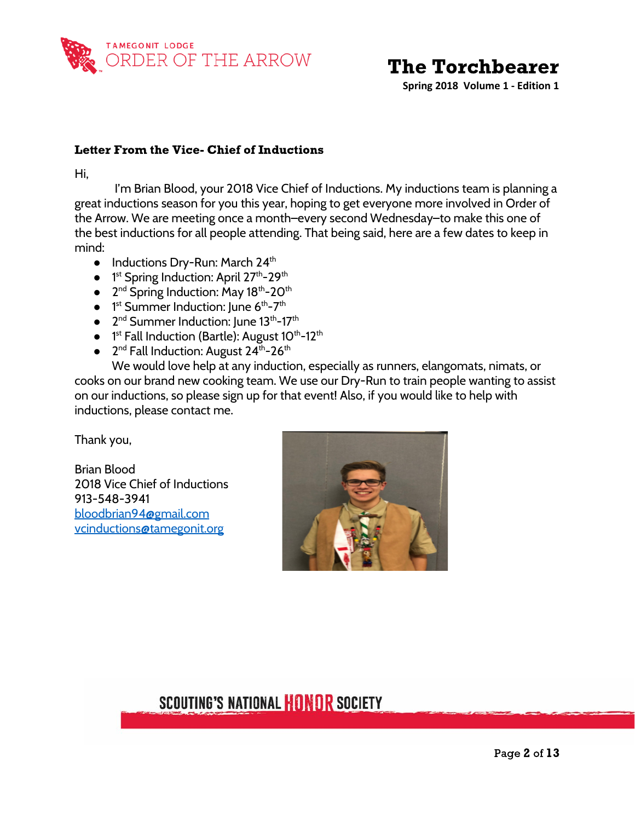

**Spring 2018 Volume 1 - Edition 1**

#### Letter From the Vice- Chief of Inductions

Hi,

I'm Brian Blood, your 2018 Vice Chief of Inductions. My inductions team is planning a great inductions season for you this year, hoping to get everyone more involved in Order of the Arrow. We are meeting once a month–every second Wednesday–to make this one of the best inductions for all people attending. That being said, here are a few dates to keep in mind:

- Inductions Dry-Run: March 24<sup>th</sup>
- 1<sup>st</sup> Spring Induction: April 27<sup>th</sup>-29<sup>th</sup>
- $2<sup>nd</sup>$  Spring Induction: May 18<sup>th</sup>-20<sup>th</sup>
- $\bullet$  1<sup>st</sup> Summer Induction: June 6<sup>th</sup>-7<sup>th</sup>
- $\bullet$  2<sup>nd</sup> Summer Induction: June 13<sup>th</sup>-17<sup>th</sup>
- $\bullet$  1<sup>st</sup> Fall Induction (Bartle): August 10<sup>th</sup>-12<sup>th</sup>
- $\bullet$  2<sup>nd</sup> Fall Induction: August 24<sup>th</sup>-26<sup>th</sup>

We would love help at any induction, especially as runners, elangomats, nimats, or cooks on our brand new cooking team. We use our Dry-Run to train people wanting to assist on our inductions, so please sign up for that event! Also, if you would like to help with inductions, please contact me.

Thank you,

Brian Blood 2018 Vice Chief of Inductions 913-548-3941 [bloodbrian94@gmail.com](mailto:bloodbrian94@gmail.com) [vcinductions@tamegonit.org](mailto:vcinductions@tamegonit.org)

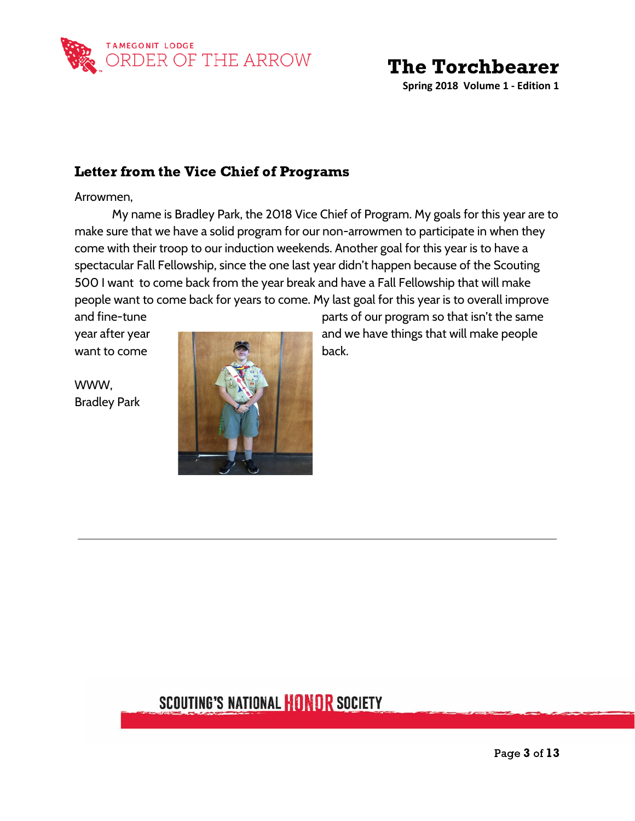

**Spring 2018 Volume 1 - Edition 1**

#### Letter from the Vice Chief of Programs

Arrowmen,

My name is Bradley Park, the 2018 Vice Chief of Program. My goals for this year are to make sure that we have a solid program for our non-arrowmen to participate in when they come with their troop to our induction weekends. Another goal for this year is to have a spectacular Fall Fellowship, since the one last year didn't happen because of the Scouting 500 I want to come back from the year break and have a Fall Fellowship that will make people want to come back for years to come. My last goal for this year is to overall improve

WWW, Bradley Park



and fine-tune **parts of our program so that isn't the same** year after year and we have things that will make people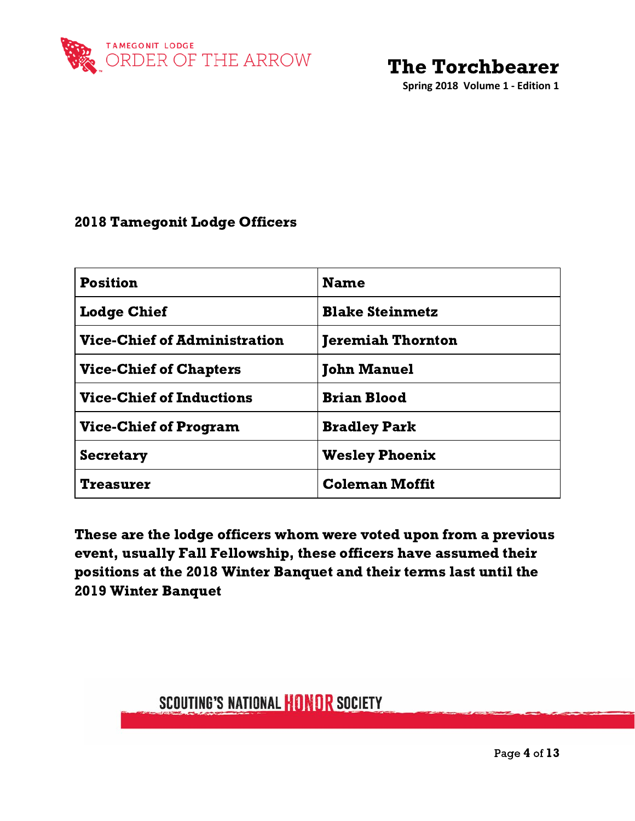

**Spring 2018 Volume 1 - Edition 1**

#### 2018 Tamegonit Lodge Officers

| <b>Position</b>                     | <b>Name</b>              |
|-------------------------------------|--------------------------|
| <b>Lodge Chief</b>                  | <b>Blake Steinmetz</b>   |
| <b>Vice-Chief of Administration</b> | <b>Jeremiah Thornton</b> |
| <b>Vice-Chief of Chapters</b>       | <b>John Manuel</b>       |
| <b>Vice-Chief of Inductions</b>     | <b>Brian Blood</b>       |
| <b>Vice-Chief of Program</b>        | <b>Bradley Park</b>      |
| <b>Secretary</b>                    | <b>Wesley Phoenix</b>    |
| <b>Treasurer</b>                    | <b>Coleman Moffit</b>    |

These are the lodge officers whom were voted upon from a previous event, usually Fall Fellowship, these officers have assumed their positions at the 2018 Winter Banquet and their terms last until the 2019 Winter Banquet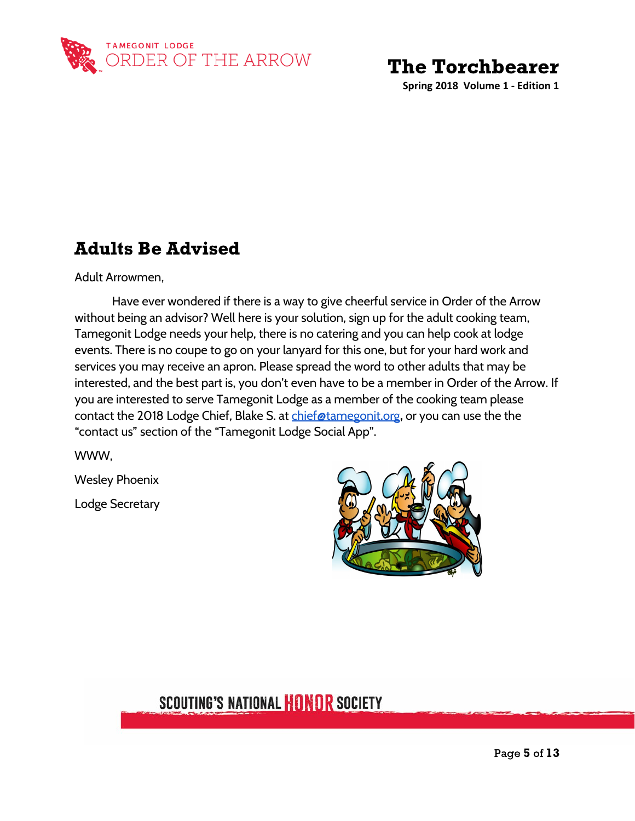

**Spring 2018 Volume 1 - Edition 1**

## Adults Be Advised

Adult Arrowmen,

Have ever wondered if there is a way to give cheerful service in Order of the Arrow without being an advisor? Well here is your solution, sign up for the adult cooking team, Tamegonit Lodge needs your help, there is no catering and you can help cook at lodge events. There is no coupe to go on your lanyard for this one, but for your hard work and services you may receive an apron. Please spread the word to other adults that may be interested, and the best part is, you don't even have to be a member in Order of the Arrow. If you are interested to serve Tamegonit Lodge as a member of the cooking team please contact the 2018 Lodge Chief, Blake S. at [chief@tamegonit.org](mailto:chief@tamegonit.org)**,** or you can use the the "contact us" section of the "Tamegonit Lodge Social App".

WWW,

Wesley Phoenix

Lodge Secretary

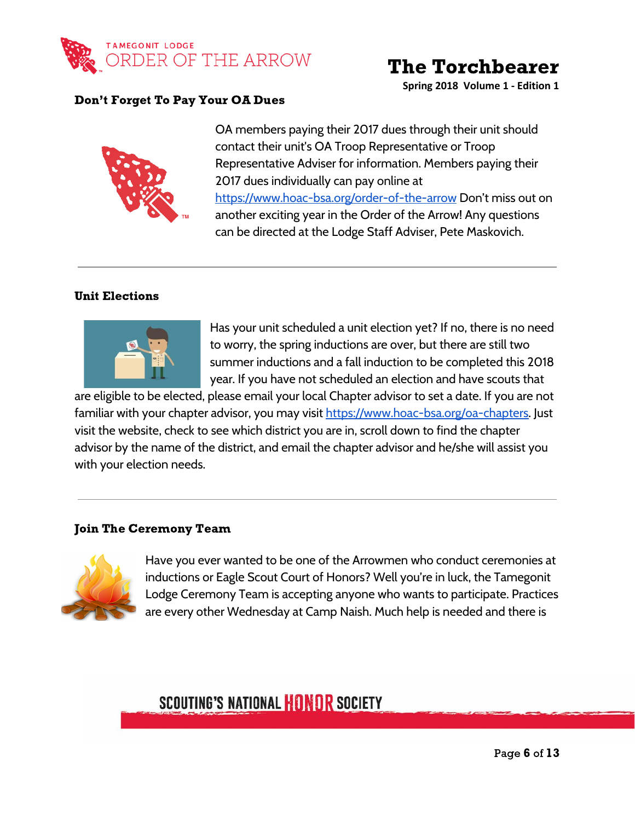

**Spring 2018 Volume 1 - Edition 1**

#### Don't Forget To Pay Your OA Dues



OA members paying their 2017 dues through their unit should contact their unit's OA Troop Representative or Troop Representative Adviser for information. Members paying their 2017 dues individually can pay online at <https://www.hoac-bsa.org/order-of-the-arrow> Don't miss out on another exciting year in the Order of the Arrow! Any questions can be directed at the Lodge Staff Adviser, Pete Maskovich.

#### Unit Elections



Has your unit scheduled a unit election yet? If no, there is no need to worry, the spring inductions are over, but there are still two summer inductions and a fall induction to be completed this 2018 year. If you have not scheduled an election and have scouts that

are eligible to be elected, please email your local Chapter advisor to set a date. If you are not familiar with your chapter advisor, you may visit [https://www.hoac-bsa.org/oa-chapters.](https://www.hoac-bsa.org/oa-chapters) Just visit the website, check to see which district you are in, scroll down to find the chapter advisor by the name of the district, and email the chapter advisor and he/she will assist you with your election needs.

#### Join The Ceremony Team



Have you ever wanted to be one of the Arrowmen who conduct ceremonies at inductions or Eagle Scout Court of Honors? Well you're in luck, the Tamegonit Lodge Ceremony Team is accepting anyone who wants to participate. Practices are every other Wednesday at Camp Naish. Much help is needed and there is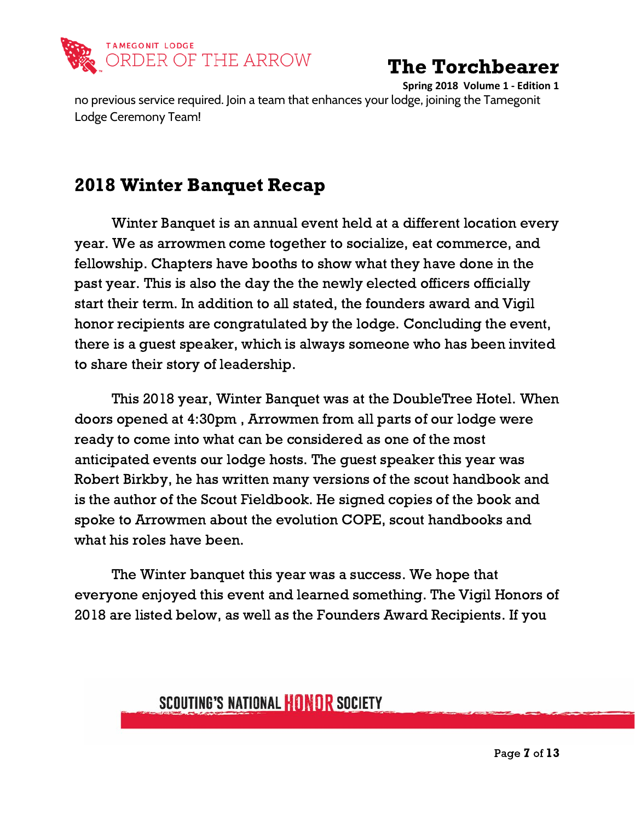

**Spring 2018 Volume 1 - Edition 1** no previous service required. Join a team that enhances your lodge, joining the Tamegonit Lodge Ceremony Team!

## 2018 Winter Banquet Recap

Winter Banquet is an annual event held at a different location every year. We as arrowmen come together to socialize, eat commerce, and fellowship. Chapters have booths to show what they have done in the past year. This is also the day the the newly elected officers officially start their term. In addition to all stated, the founders award and Vigil honor recipients are congratulated by the lodge. Concluding the event, there is a guest speaker, which is always someone who has been invited to share their story of leadership.

This 2018 year, Winter Banquet was at the DoubleTree Hotel. When doors opened at 4:30pm , Arrowmen from all parts of our lodge were ready to come into what can be considered as one of the most anticipated events our lodge hosts. The guest speaker this year was Robert Birkby, he has written many versions of the scout handbook and is the author of the Scout Fieldbook. He signed copies of the book and spoke to Arrowmen about the evolution COPE, scout handbooks and what his roles have been.

The Winter banquet this year was a success. We hope that everyone enjoyed this event and learned something. The Vigil Honors of 2018 are listed below, as well as the Founders Award Recipients. If you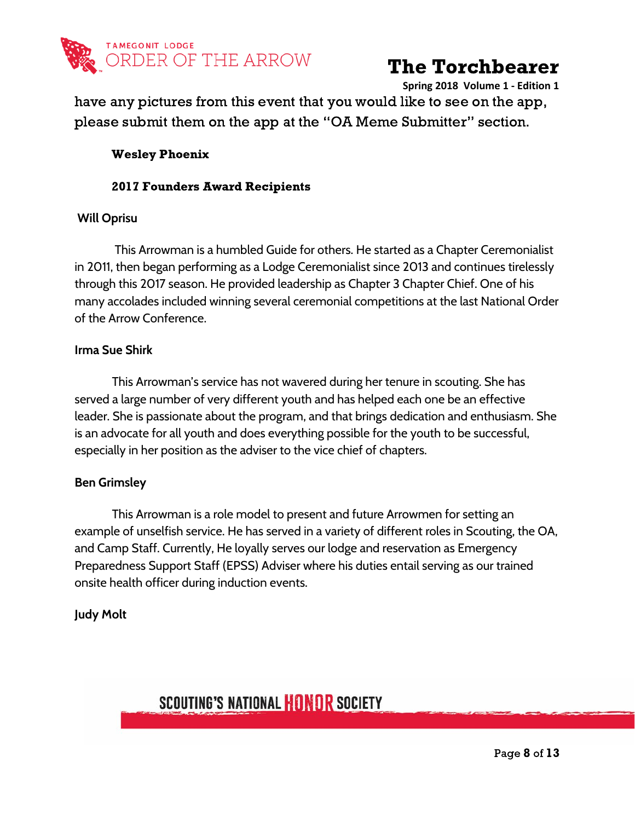

**Spring 2018 Volume 1 - Edition 1**

have any pictures from this event that you would like to see on the app, please submit them on the app at the "OA Meme Submitter" section.

#### Wesley Phoenix

#### 2017 Founders Award Recipients

#### **Will Oprisu**

This Arrowman is a humbled Guide for others. He started as a Chapter Ceremonialist in 2011, then began performing as a Lodge Ceremonialist since 2013 and continues tirelessly through this 2017 season. He provided leadership as Chapter 3 Chapter Chief. One of his many accolades included winning several ceremonial competitions at the last National Order of the Arrow Conference.

#### **Irma Sue Shirk**

This Arrowman's service has not wavered during her tenure in scouting. She has served a large number of very different youth and has helped each one be an effective leader. She is passionate about the program, and that brings dedication and enthusiasm. She is an advocate for all youth and does everything possible for the youth to be successful, especially in her position as the adviser to the vice chief of chapters.

#### **Ben Grimsley**

This Arrowman is a role model to present and future Arrowmen for setting an example of unselfish service. He has served in a variety of different roles in Scouting, the OA, and Camp Staff. Currently, He loyally serves our lodge and reservation as Emergency Preparedness Support Staff (EPSS) Adviser where his duties entail serving as our trained onsite health officer during induction events.

#### **Judy Molt**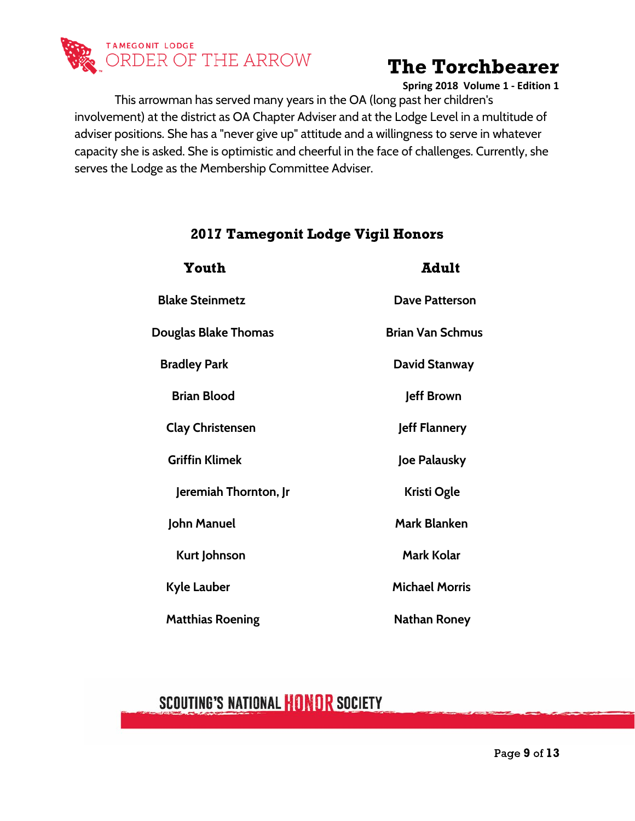

**Spring 2018 Volume 1 - Edition 1**

This arrowman has served many years in the OA (long past her children's involvement) at the district as OA Chapter Adviser and at the Lodge Level in a multitude of adviser positions. She has a "never give up" attitude and a willingness to serve in whatever capacity she is asked. She is optimistic and cheerful in the face of challenges. Currently, she serves the Lodge as the Membership Committee Adviser.

| Youth                   | Adult                   |
|-------------------------|-------------------------|
| <b>Blake Steinmetz</b>  | Dave Patterson          |
| Douglas Blake Thomas    | <b>Brian Van Schmus</b> |
| <b>Bradley Park</b>     | David Stanway           |
| <b>Brian Blood</b>      | Jeff Brown              |
| <b>Clay Christensen</b> | Jeff Flannery           |
| <b>Griffin Klimek</b>   | Joe Palausky            |
| Jeremiah Thornton, Jr   | Kristi Ogle             |
| John Manuel             | Mark Blanken            |
| <b>Kurt Johnson</b>     | Mark Kolar              |
| Kyle Lauber             | <b>Michael Morris</b>   |
| <b>Matthias Roening</b> | Nathan Roney            |

#### 2017 Tamegonit Lodge Vigil Honors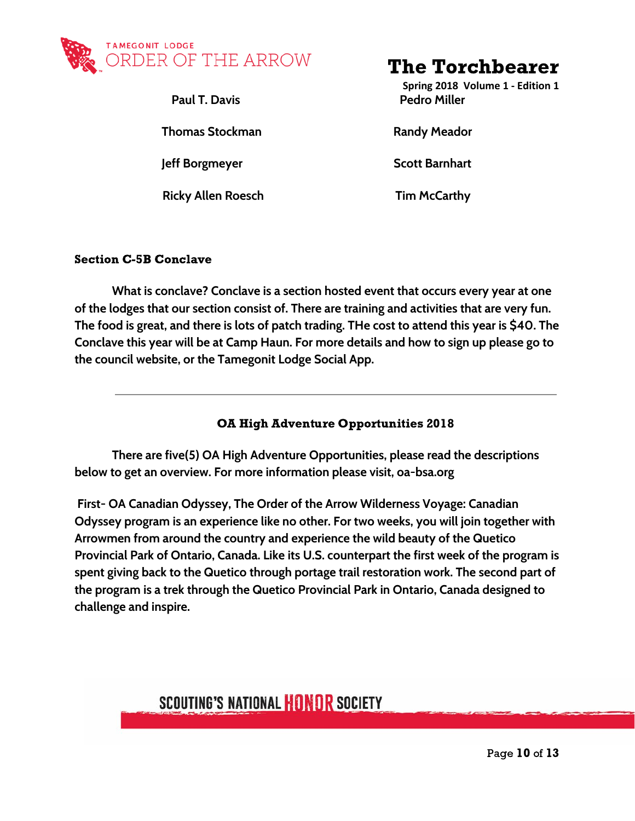

**Paul T. Davis Pedro Miller**

**Thomas Stockman Randy Meador** 

**Jeff Borgmeyer Scott Barnhart**

**Ricky Allen Roesch Tim McCarthy**

## The Torchbearer

**Spring 2018 Volume 1 - Edition 1**

#### Section C-5B Conclave

**What is conclave? Conclave is a section hosted event that occurs every year at one of the lodges that our section consist of. There are training and activities that are very fun.** The food is great, and there is lots of patch trading. THe cost to attend this year is \$40. The **Conclave this year will be at Camp Haun. For more details and how to sign up please go to the council website, or the Tamegonit Lodge Social App.**

#### OA High Adventure Opportunities 2018

**There are five(5) OA High Adventure Opportunities, please read the descriptions below to get an overview. For more information please visit, oa-bsa.org**

**First- OA Canadian Odyssey, The Order of the Arrow Wilderness Voyage: Canadian Odyssey program is an experience like no other. For two weeks, you will join together with Arrowmen from around the country and experience the wild beauty of the Quetico Provincial Park of Ontario, Canada. Like its U.S. counterpart the first week of the program is spent giving back to the Quetico through portage trail restoration work. The second part of the program is a trek through the Quetico Provincial Park in Ontario, Canada designed to challenge and inspire.**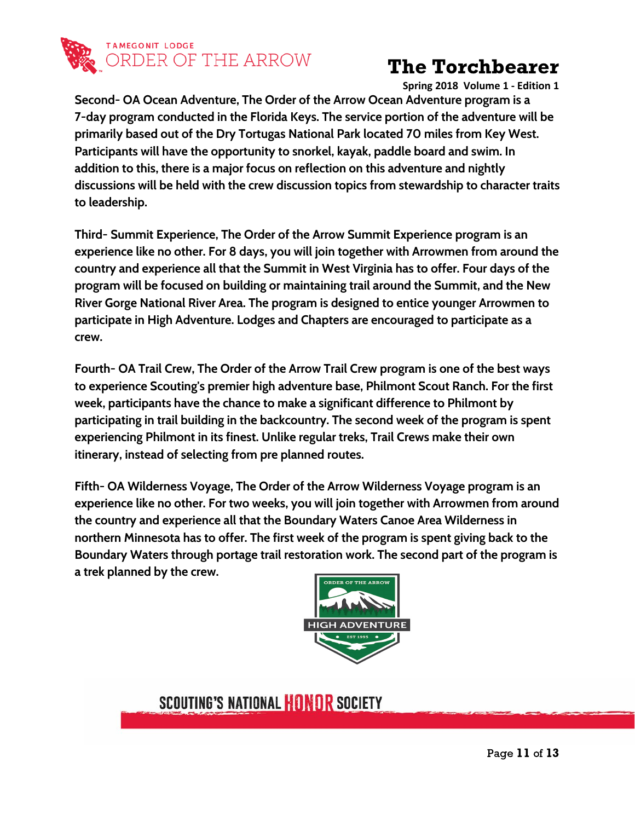

**Spring 2018 Volume 1 - Edition 1**

**Second- OA Ocean Adventure, The Order of the Arrow Ocean Adventure program is a 7-day program conducted in the Florida Keys. The service portion of the adventure will be primarily based out of the Dry Tortugas National Park located 70 miles from Key West. Participants will have the opportunity to snorkel, kayak, paddle board and swim. In addition to this, there is a major focus on reflection on this adventure and nightly discussions will be held with the crew discussion topics from stewardship to character traits to leadership.**

**Third- Summit Experience, The Order of the Arrow Summit Experience program is an experience like no other. For 8 days, you will join together with Arrowmen from around the country and experience all that the Summit in West Virginia has to offer. Four days of the program will be focused on building or maintaining trail around the Summit, and the New River Gorge National River Area. The program is designed to entice younger Arrowmen to participate in High Adventure. Lodges and Chapters are encouraged to participate as a crew.**

**Fourth- OA Trail Crew, The Order of the Arrow Trail Crew program is one of the best ways to experience Scouting's premier high adventure base, Philmont Scout Ranch. For the first week, participants have the chance to make a significant difference to Philmont by participating in trail building in the backcountry. The second week of the program is spent experiencing Philmont in its finest. Unlike regular treks, Trail Crews make their own itinerary, instead of selecting from pre planned routes.**

**Fifth- OA Wilderness Voyage, The Order of the Arrow Wilderness Voyage program is an experience like no other. For two weeks, you will join together with Arrowmen from around the country and experience all that the Boundary Waters Canoe Area Wilderness in northern Minnesota has to offer. The first week of the program is spent giving back to the Boundary Waters through portage trail restoration work. The second part of the program is a trek planned by the crew.**

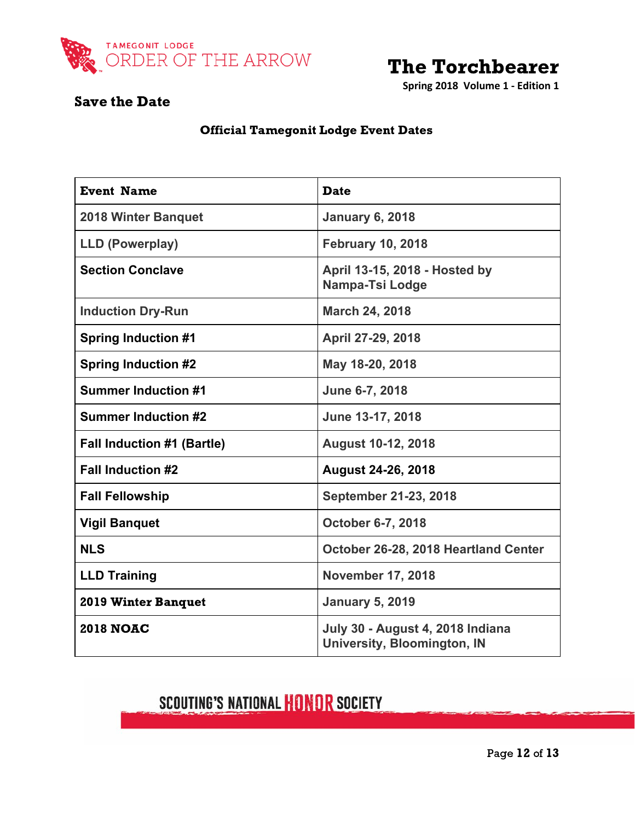

**Spring 2018 Volume 1 - Edition 1**

#### Save the Date

#### Official Tamegonit Lodge Event Dates

| <b>Event Name</b>                 | <b>Date</b>                                                            |
|-----------------------------------|------------------------------------------------------------------------|
| <b>2018 Winter Banquet</b>        | <b>January 6, 2018</b>                                                 |
| <b>LLD (Powerplay)</b>            | <b>February 10, 2018</b>                                               |
| <b>Section Conclave</b>           | April 13-15, 2018 - Hosted by<br>Nampa-Tsi Lodge                       |
| <b>Induction Dry-Run</b>          | <b>March 24, 2018</b>                                                  |
| <b>Spring Induction #1</b>        | April 27-29, 2018                                                      |
| <b>Spring Induction #2</b>        | May 18-20, 2018                                                        |
| <b>Summer Induction #1</b>        | June 6-7, 2018                                                         |
| <b>Summer Induction #2</b>        | June 13-17, 2018                                                       |
| <b>Fall Induction #1 (Bartle)</b> | <b>August 10-12, 2018</b>                                              |
| <b>Fall Induction #2</b>          | <b>August 24-26, 2018</b>                                              |
| <b>Fall Fellowship</b>            | September 21-23, 2018                                                  |
| <b>Vigil Banquet</b>              | October 6-7, 2018                                                      |
| <b>NLS</b>                        | October 26-28, 2018 Heartland Center                                   |
| <b>LLD Training</b>               | <b>November 17, 2018</b>                                               |
| <b>2019 Winter Banquet</b>        | <b>January 5, 2019</b>                                                 |
| <b>2018 NOAC</b>                  | July 30 - August 4, 2018 Indiana<br><b>University, Bloomington, IN</b> |